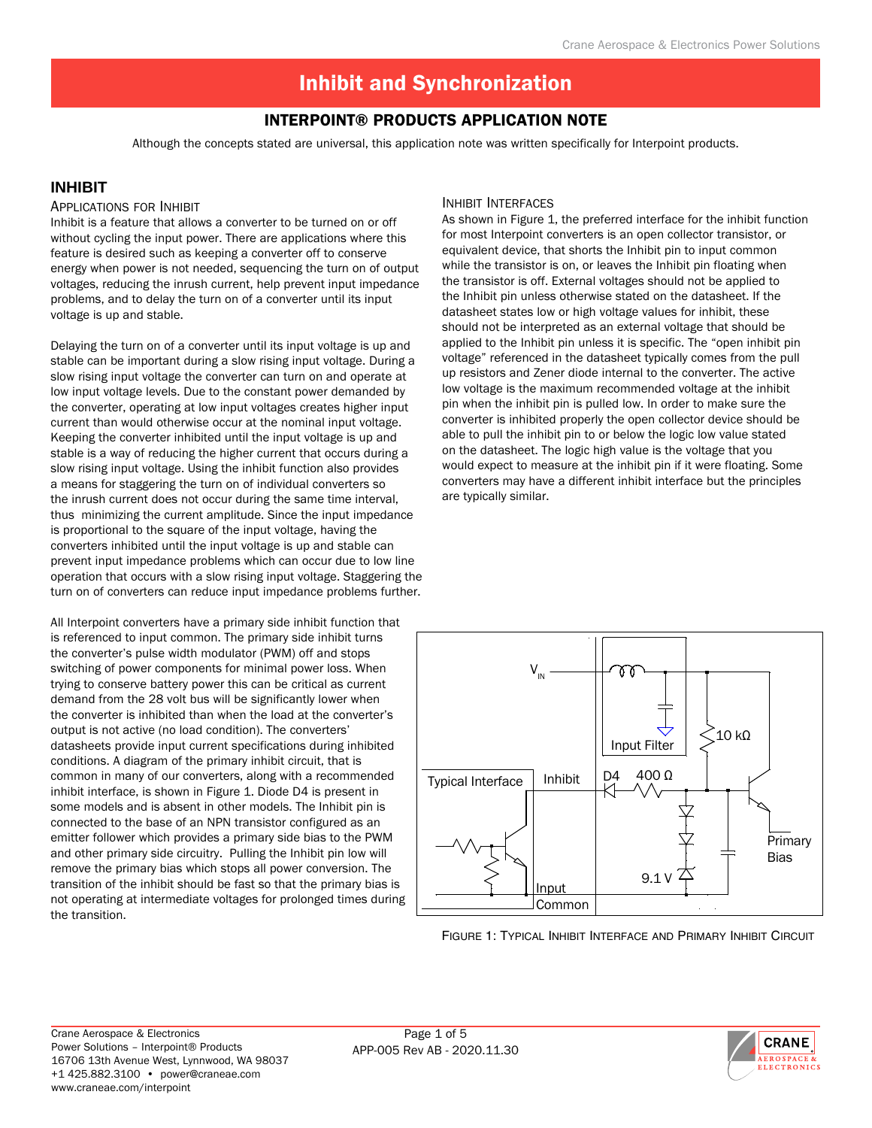# Interpoint® Products Application Note

Although the concepts stated are universal, this application note was written specifically for Interpoint products.

## **INHIBIT**

#### Applications for Inhibit

Inhibit is a feature that allows a converter to be turned on or off without cycling the input power. There are applications where this feature is desired such as keeping a converter off to conserve energy when power is not needed, sequencing the turn on of output voltages, reducing the inrush current, help prevent input impedance problems, and to delay the turn on of a converter until its input voltage is up and stable.

Delaying the turn on of a converter until its input voltage is up and stable can be important during a slow rising input voltage. During a slow rising input voltage the converter can turn on and operate at low input voltage levels. Due to the constant power demanded by the converter, operating at low input voltages creates higher input current than would otherwise occur at the nominal input voltage. Keeping the converter inhibited until the input voltage is up and stable is a way of reducing the higher current that occurs during a slow rising input voltage. Using the inhibit function also provides a means for staggering the turn on of individual converters so the inrush current does not occur during the same time interval, thus minimizing the current amplitude. Since the input impedance is proportional to the square of the input voltage, having the converters inhibited until the input voltage is up and stable can prevent input impedance problems which can occur due to low line operation that occurs with a slow rising input voltage. Staggering the turn on of converters can reduce input impedance problems further.

All Interpoint converters have a primary side inhibit function that is referenced to input common. The primary side inhibit turns the converter's pulse width modulator (PWM) off and stops switching of power components for minimal power loss. When trying to conserve battery power this can be critical as current demand from the 28 volt bus will be significantly lower when the converter is inhibited than when the load at the converter's output is not active (no load condition). The converters' datasheets provide input current specifications during inhibited conditions. A diagram of the primary inhibit circuit, that is common in many of our converters, along with a recommended inhibit interface, is shown in Figure 1. Diode D4 is present in some models and is absent in other models. The Inhibit pin is connected to the base of an NPN transistor configured as an emitter follower which provides a primary side bias to the PWM and other primary side circuitry. Pulling the Inhibit pin low will remove the primary bias which stops all power conversion. The transition of the inhibit should be fast so that the primary bias is not operating at intermediate voltages for prolonged times during the transition.

## Inhibit Interfaces

As shown in Figure 1, the preferred interface for the inhibit function for most Interpoint converters is an open collector transistor, or equivalent device, that shorts the Inhibit pin to input common while the transistor is on, or leaves the Inhibit pin floating when the transistor is off. External voltages should not be applied to the Inhibit pin unless otherwise stated on the datasheet. If the datasheet states low or high voltage values for inhibit, these should not be interpreted as an external voltage that should be applied to the Inhibit pin unless it is specific. The "open inhibit pin voltage" referenced in the datasheet typically comes from the pull up resistors and Zener diode internal to the converter. The active low voltage is the maximum recommended voltage at the inhibit pin when the inhibit pin is pulled low. In order to make sure the converter is inhibited properly the open collector device should be able to pull the inhibit pin to or below the logic low value stated on the datasheet. The logic high value is the voltage that you would expect to measure at the inhibit pin if it were floating. Some converters may have a different inhibit interface but the principles are typically similar.



.<br>Figure 1: Typical Inhibit Interface and Primary Inhibit Circui

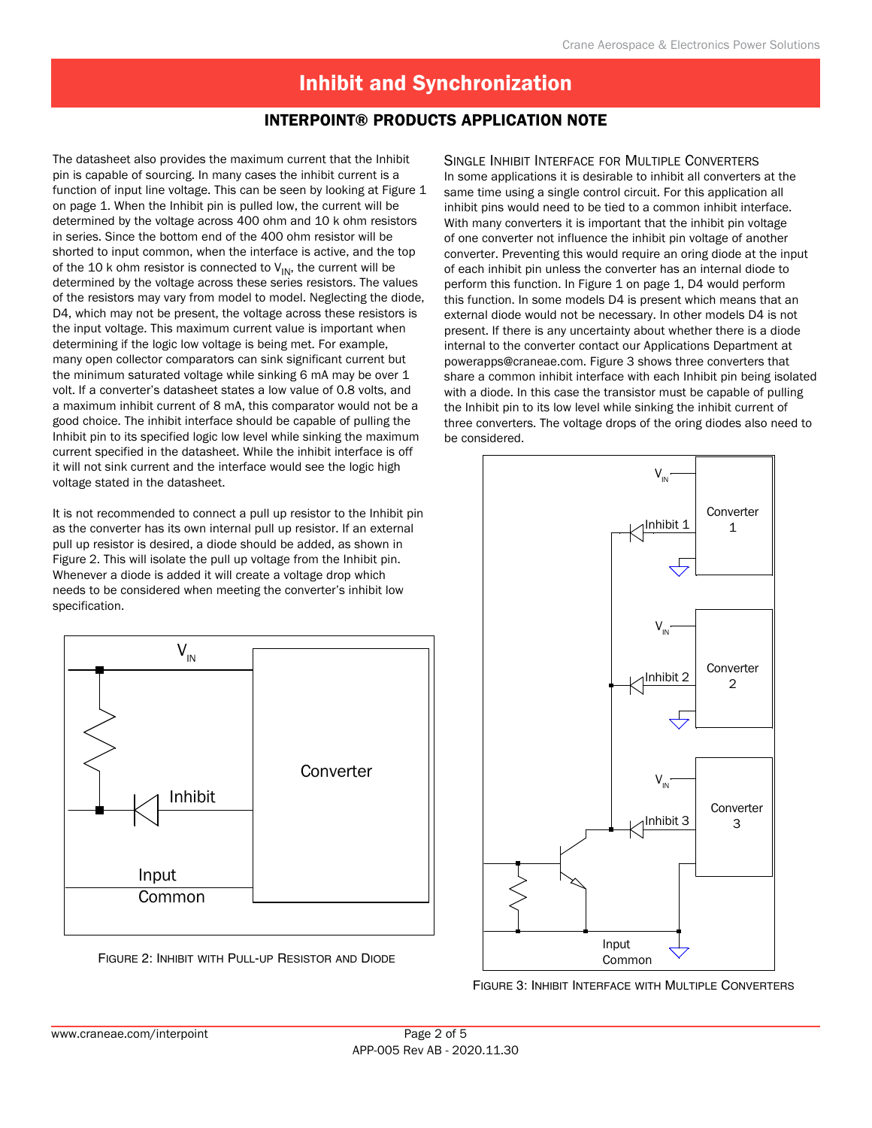# Interpoint® Products Application Note

The datasheet also provides the maximum current that the Inhibit pin is capable of sourcing. In many cases the inhibit current is a function of input line voltage. This can be seen by looking at Figure 1 on page 1. When the Inhibit pin is pulled low, the current will be determined by the voltage across 400 ohm and 10 k ohm resistors in series. Since the bottom end of the 400 ohm resistor will be shorted to input common, when the interface is active, and the top of the 10 k ohm resistor is connected to  $V_{IN}$ , the current will be determined by the voltage across these series resistors. The values of the resistors may vary from model to model. Neglecting the diode, D4, which may not be present, the voltage across these resistors is the input voltage. This maximum current value is important when determining if the logic low voltage is being met. For example, many open collector comparators can sink significant current but the minimum saturated voltage while sinking 6 mA may be over 1 volt. If a converter's datasheet states a low value of 0.8 volts, and a maximum inhibit current of 8 mA, this comparator would not be a good choice. The inhibit interface should be capable of pulling the Inhibit pin to its specified logic low level while sinking the maximum current specified in the datasheet. While the inhibit interface is off it will not sink current and the interface would see the logic high voltage stated in the datasheet.

It is not recommended to connect a pull up resistor to the Inhibit pin as the converter has its own internal pull up resistor. If an external pull up resistor is desired, a diode should be added, as shown in Figure 2. This will isolate the pull up voltage from the Inhibit pin. Whenever a diode is added it will create a voltage drop which needs to be considered when meeting the converter's inhibit low specification.



Figure 2: Inhibit with Pull-up Resistor and Diode

### Single Inhibit Interface for Multiple Converters

In some applications it is desirable to inhibit all converters at the same time using a single control circuit. For this application all inhibit pins would need to be tied to a common inhibit interface. With many converters it is important that the inhibit pin voltage of one converter not influence the inhibit pin voltage of another converter. Preventing this would require an oring diode at the input of each inhibit pin unless the converter has an internal diode to perform this function. In Figure 1 on page 1, D4 would perform this function. In some models D4 is present which means that an external diode would not be necessary. In other models D4 is not present. If there is any uncertainty about whether there is a diode internal to the converter contact our Applications Department at powerapps@craneae.com. Figure 3 shows three converters that share a common inhibit interface with each Inhibit pin being isolated with a diode. In this case the transistor must be capable of pulling the Inhibit pin to its low level while sinking the inhibit current of three converters. The voltage drops of the oring diodes also need to be considered.



Figure 3: Inhibit Interface with Multiple Converters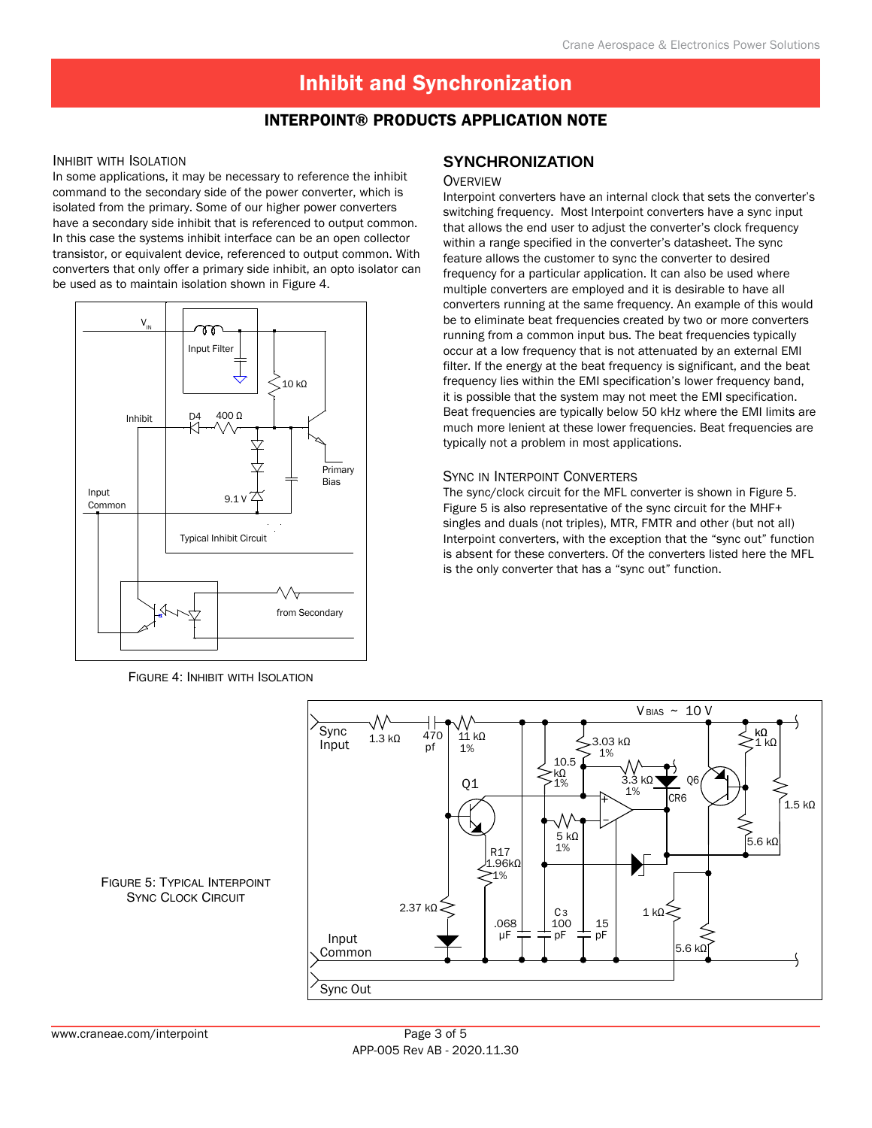# Interpoint® Products Application Note

#### Inhibit with Isolation

In some applications, it may be necessary to reference the inhibit command to the secondary side of the power converter, which is isolated from the primary. Some of our higher power converters have a secondary side inhibit that is referenced to output common. In this case the systems inhibit interface can be an open collector transistor, or equivalent device, referenced to output common. With converters that only offer a primary side inhibit, an opto isolator can be used as to maintain isolation shown in Figure 4.



Figure 4: Inhibit with Isolation

## **SYNCHRONIZATION**

#### **OVERVIEW**

Interpoint converters have an internal clock that sets the converter's switching frequency. Most Interpoint converters have a sync input that allows the end user to adjust the converter's clock frequency within a range specified in the converter's datasheet. The sync feature allows the customer to sync the converter to desired frequency for a particular application. It can also be used where multiple converters are employed and it is desirable to have all converters running at the same frequency. An example of this would be to eliminate beat frequencies created by two or more converters running from a common input bus. The beat frequencies typically occur at a low frequency that is not attenuated by an external EMI filter. If the energy at the beat frequency is significant, and the beat frequency lies within the EMI specification's lower frequency band, it is possible that the system may not meet the EMI specification. Beat frequencies are typically below 50 kHz where the EMI limits are much more lenient at these lower frequencies. Beat frequencies are typically not a problem in most applications.

#### Sync in Interpoint Converters

The sync/clock circuit for the MFL converter is shown in Figure 5. Figure 5 is also representative of the sync circuit for the MHF+ singles and duals (not triples), MTR, FMTR and other (but not all) Interpoint converters, with the exception that the "sync out" function is absent for these converters. Of the converters listed here the MFL is the only converter that has a "sync out" function.



Figure 5: Typical Interpoint SYNC CLOCK CIRCUIT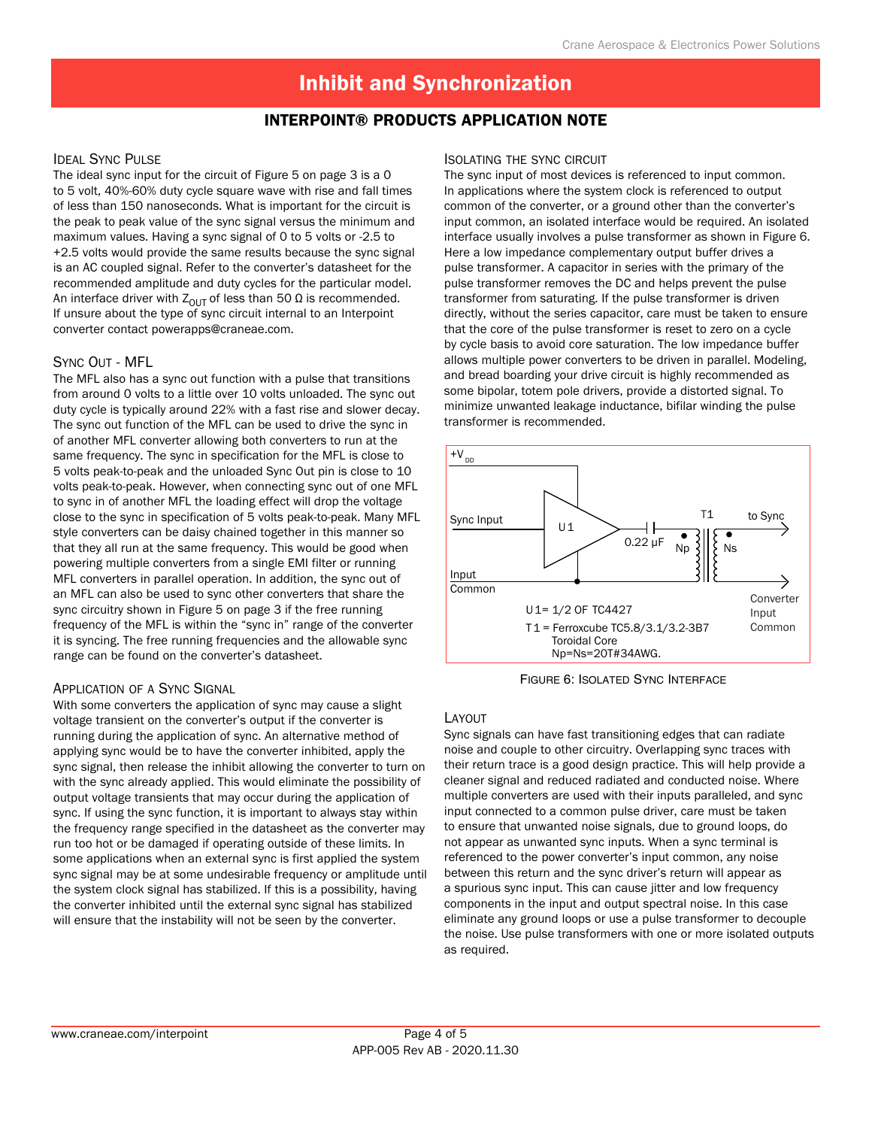## Interpoint® Products Application Note

## **IDEAL SYNC PULSE**

The ideal sync input for the circuit of Figure 5 on page 3 is a 0 to 5 volt, 40%-60% duty cycle square wave with rise and fall times of less than 150 nanoseconds. What is important for the circuit is the peak to peak value of the sync signal versus the minimum and maximum values. Having a sync signal of 0 to 5 volts or -2.5 to +2.5 volts would provide the same results because the sync signal is an AC coupled signal. Refer to the converter's datasheet for the recommended amplitude and duty cycles for the particular model. An interface driver with  $Z_{OUT}$  of less than 50  $\Omega$  is recommended. If unsure about the type of sync circuit internal to an Interpoint converter contact powerapps@craneae.com.

## Sync Out - MFL

The MFL also has a sync out function with a pulse that transitions from around 0 volts to a little over 10 volts unloaded. The sync out duty cycle is typically around 22% with a fast rise and slower decay. The sync out function of the MFL can be used to drive the sync in of another MFL converter allowing both converters to run at the same frequency. The sync in specification for the MFL is close to 5 volts peak-to-peak and the unloaded Sync Out pin is close to 10 volts peak-to-peak. However, when connecting sync out of one MFL to sync in of another MFL the loading effect will drop the voltage close to the sync in specification of 5 volts peak-to-peak. Many MFL style converters can be daisy chained together in this manner so that they all run at the same frequency. This would be good when powering multiple converters from a single EMI filter or running MFL converters in parallel operation. In addition, the sync out of an MFL can also be used to sync other converters that share the sync circuitry shown in Figure 5 on page 3 if the free running frequency of the MFL is within the "sync in" range of the converter it is syncing. The free running frequencies and the allowable sync range can be found on the converter's datasheet.

## Application of a Sync Signal

With some converters the application of sync may cause a slight voltage transient on the converter's output if the converter is running during the application of sync. An alternative method of applying sync would be to have the converter inhibited, apply the sync signal, then release the inhibit allowing the converter to turn on with the sync already applied. This would eliminate the possibility of output voltage transients that may occur during the application of sync. If using the sync function, it is important to always stay within the frequency range specified in the datasheet as the converter may run too hot or be damaged if operating outside of these limits. In some applications when an external sync is first applied the system sync signal may be at some undesirable frequency or amplitude until the system clock signal has stabilized. If this is a possibility, having the converter inhibited until the external sync signal has stabilized will ensure that the instability will not be seen by the converter.

#### Isolating the sync circuit

The sync input of most devices is referenced to input common. In applications where the system clock is referenced to output common of the converter, or a ground other than the converter's input common, an isolated interface would be required. An isolated interface usually involves a pulse transformer as shown in Figure 6. Here a low impedance complementary output buffer drives a pulse transformer. A capacitor in series with the primary of the pulse transformer removes the DC and helps prevent the pulse transformer from saturating. If the pulse transformer is driven directly, without the series capacitor, care must be taken to ensure that the core of the pulse transformer is reset to zero on a cycle by cycle basis to avoid core saturation. The low impedance buffer allows multiple power converters to be driven in parallel. Modeling, and bread boarding your drive circuit is highly recommended as some bipolar, totem pole drivers, provide a distorted signal. To minimize unwanted leakage inductance, bifilar winding the pulse transformer is recommended.



Figure 6: Isolated Sync Interface

## Layout

Sync signals can have fast transitioning edges that can radiate noise and couple to other circuitry. Overlapping sync traces with their return trace is a good design practice. This will help provide a cleaner signal and reduced radiated and conducted noise. Where multiple converters are used with their inputs paralleled, and sync input connected to a common pulse driver, care must be taken to ensure that unwanted noise signals, due to ground loops, do not appear as unwanted sync inputs. When a sync terminal is referenced to the power converter's input common, any noise between this return and the sync driver's return will appear as a spurious sync input. This can cause jitter and low frequency components in the input and output spectral noise. In this case eliminate any ground loops or use a pulse transformer to decouple the noise. Use pulse transformers with one or more isolated outputs as required.